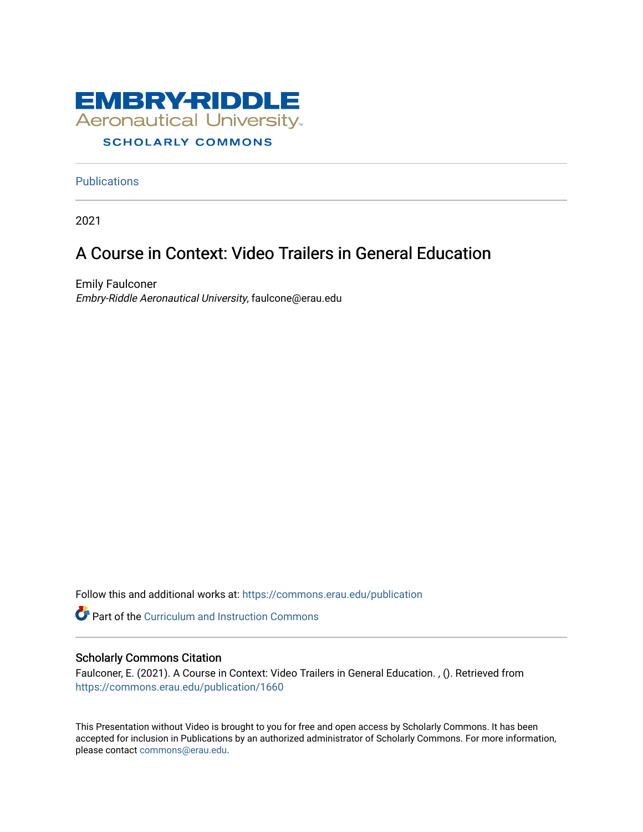

**Publications** 

2021

### A Course in Context: Video Trailers in General Education

Emily Faulconer Embry-Riddle Aeronautical University, faulcone@erau.edu

Follow this and additional works at: [https://commons.erau.edu/publication](https://commons.erau.edu/publication?utm_source=commons.erau.edu%2Fpublication%2F1660&utm_medium=PDF&utm_campaign=PDFCoverPages) 

**C** Part of the Curriculum and Instruction Commons

### Scholarly Commons Citation

Faulconer, E. (2021). A Course in Context: Video Trailers in General Education. , (). Retrieved from [https://commons.erau.edu/publication/1660](https://commons.erau.edu/publication/1660?utm_source=commons.erau.edu%2Fpublication%2F1660&utm_medium=PDF&utm_campaign=PDFCoverPages)

This Presentation without Video is brought to you for free and open access by Scholarly Commons. It has been accepted for inclusion in Publications by an authorized administrator of Scholarly Commons. For more information, please contact [commons@erau.edu](mailto:commons@erau.edu).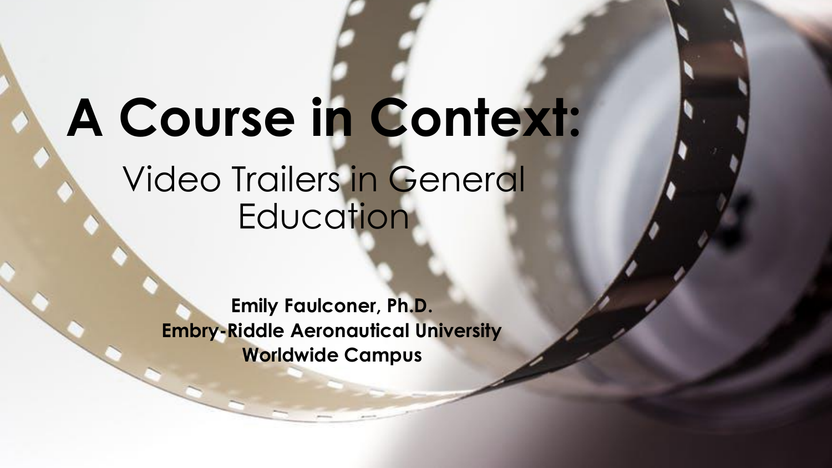# **A Course in Context:**  Video Trailers in General **Education**

**Emily Faulconer, Ph.D. Embry-Riddle Aeronautical University Worldwide Campus**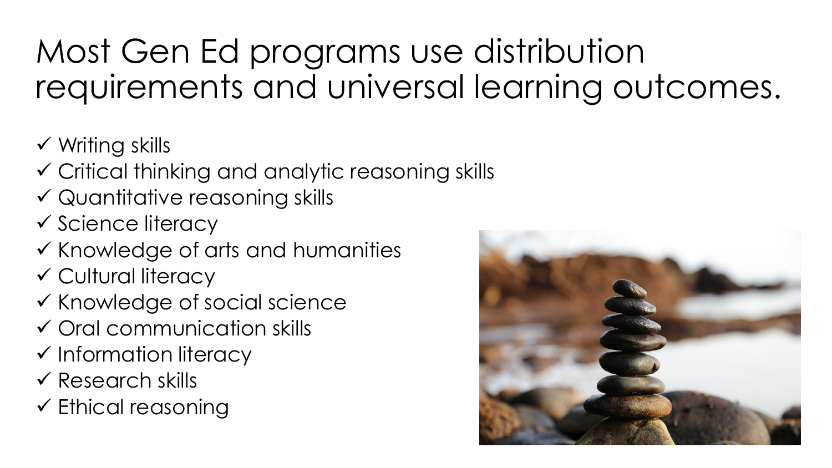## Most Gen Ed programs use distribution requirements and universal learning outcomes.

- $\checkmark$  Writing skills
- Critical thinking and analytic reasoning skills
- Quantitative reasoning skills
- $\checkmark$  Science literacy
- $\checkmark$  Knowledge of arts and humanities
- Cultural literacy
- $\checkmark$  Knowledge of social science
- Oral communication skills
- $\checkmark$  Information literacy
- $\checkmark$  Research skills
- $\checkmark$  Ethical reasoning

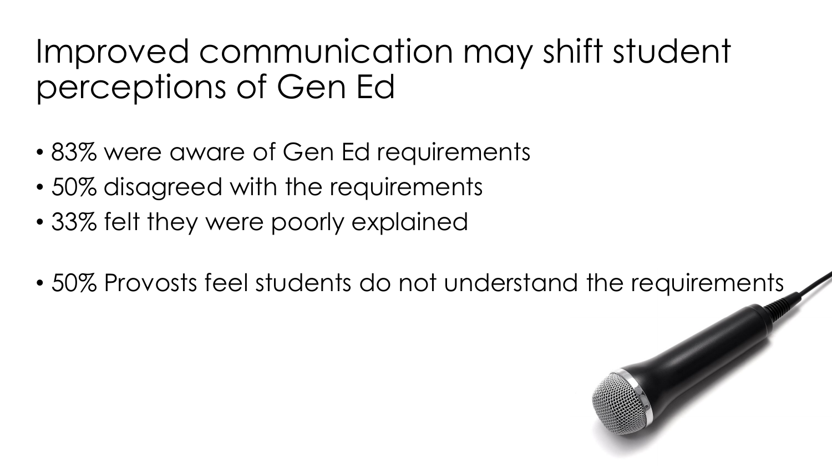### Improved communication may shift student perceptions of Gen Ed

- 83% were aware of Gen Ed requirements
- 50% disagreed with the requirements
- 33% felt they were poorly explained
- 50% Provosts feel students do not understand the requirements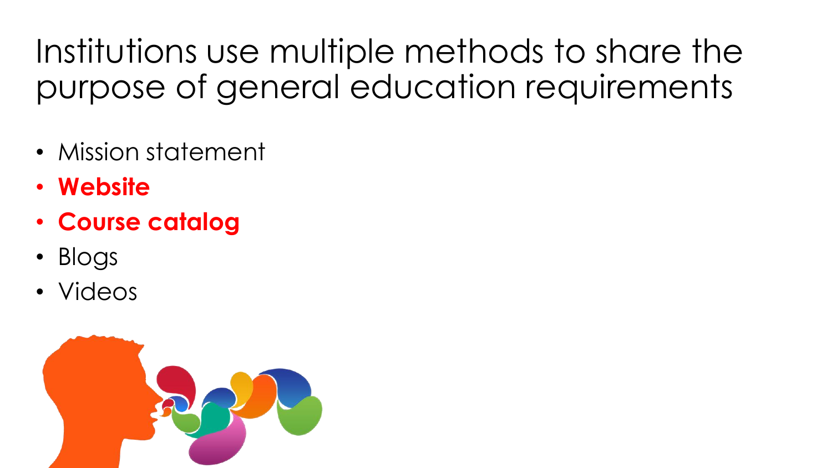Institutions use multiple methods to share the purpose of general education requirements

- Mission statement
- **Website**
- **Course catalog**
- Blogs
- Videos

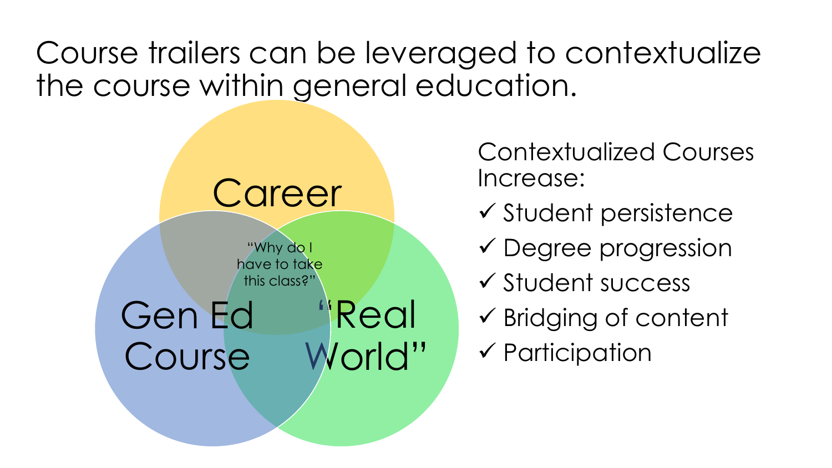Course trailers can be leveraged to contextualize the course within general education.



Contextualized Courses Increase:

- $\checkmark$  Student persistence
- Degree progression
- $\checkmark$  Student success
- $\checkmark$  Bridging of content
- $\checkmark$  Participation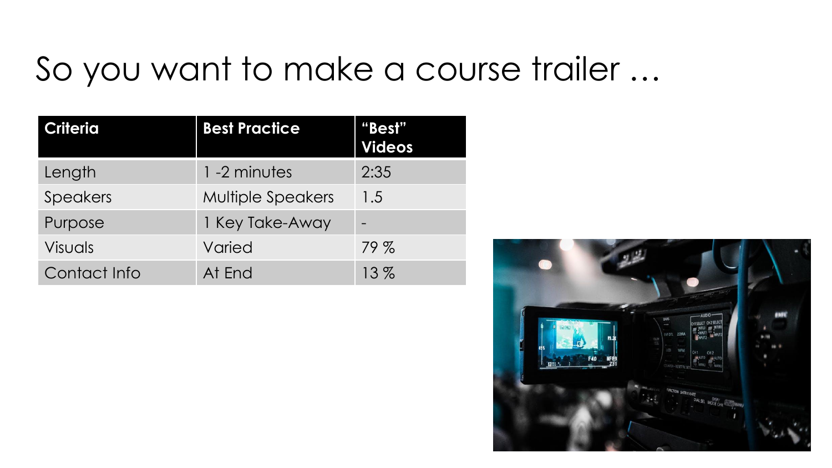### So you want to make a course trailer …

| <b>Criteria</b> | <b>Best Practice</b>     | <u>"Best"</u><br><b>Videos</b> |
|-----------------|--------------------------|--------------------------------|
| Length          | 1 -2 minutes             | 2:35                           |
| <b>Speakers</b> | <b>Multiple Speakers</b> | 1.5                            |
| Purpose         | 1 Key Take-Away          |                                |
| <b>Visuals</b>  | Varied                   | 79%                            |
| Contact Info    | At End                   | 13%                            |

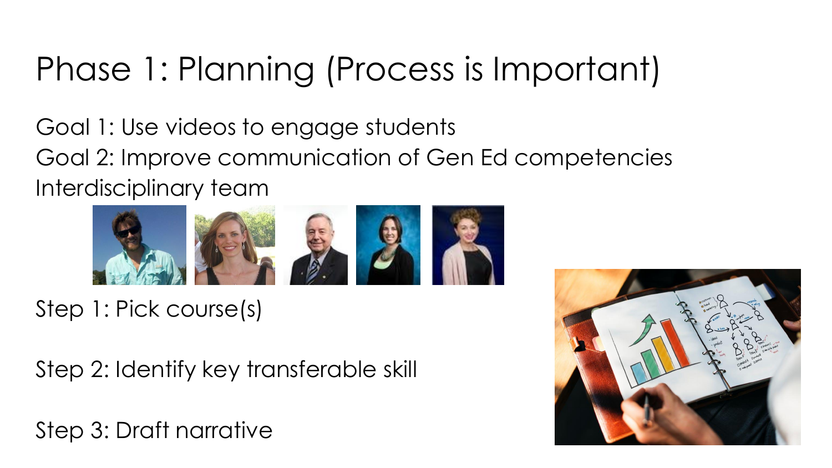# Phase 1: Planning (Process is Important)

Goal 1: Use videos to engage students Goal 2: Improve communication of Gen Ed competencies Interdisciplinary team



Step 1: Pick course(s)

Step 2: Identify key transferable skill

Step 3: Draft narrative

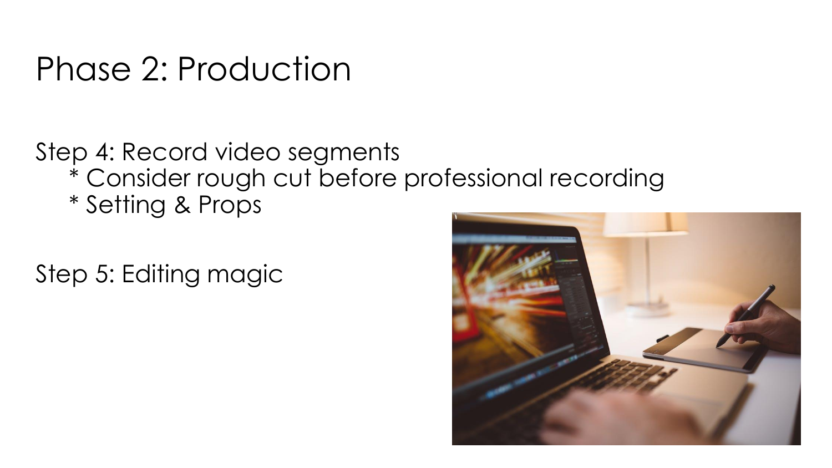### Phase 2: Production

### Step 4: Record video segments \* Consider rough cut before professional recording \* Setting & Props

Step 5: Editing magic

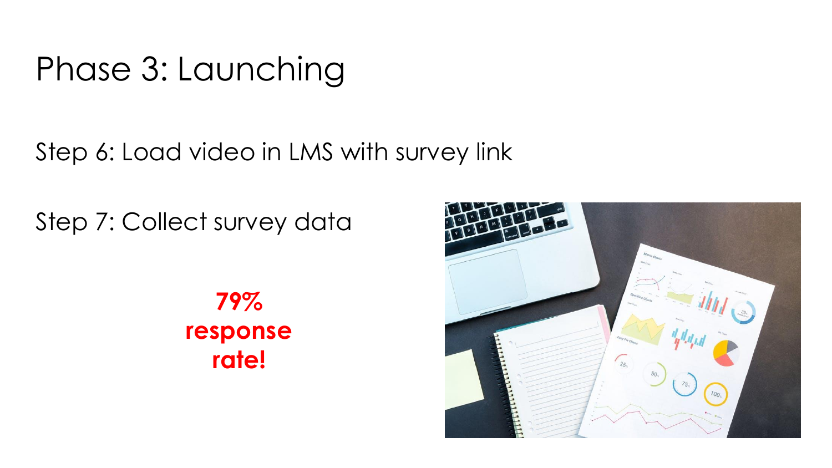### Phase 3: Launching

Step 6: Load video in LMS with survey link

Step 7: Collect survey data

**79% response rate!** 

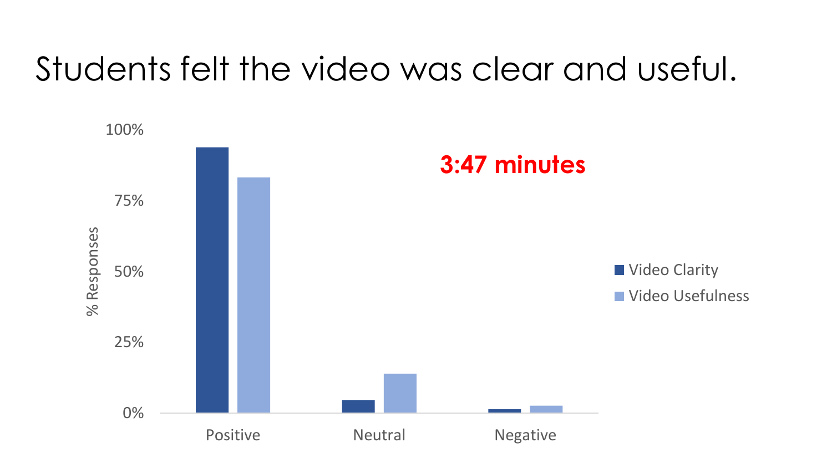### Students felt the video was clear and useful.

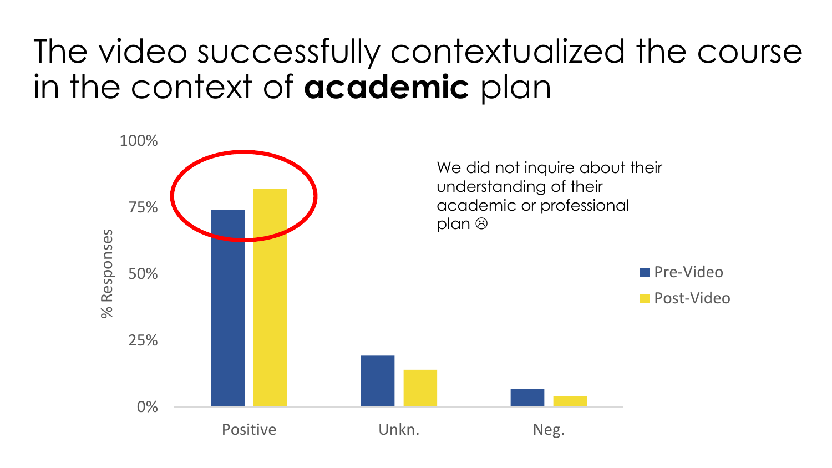### The video successfully contextualized the course in the context of **academic** plan

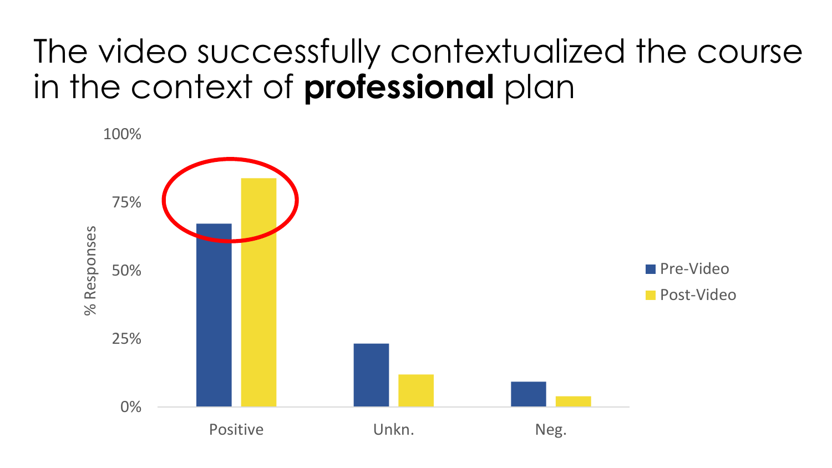### The video successfully contextualized the course in the context of **professional** plan

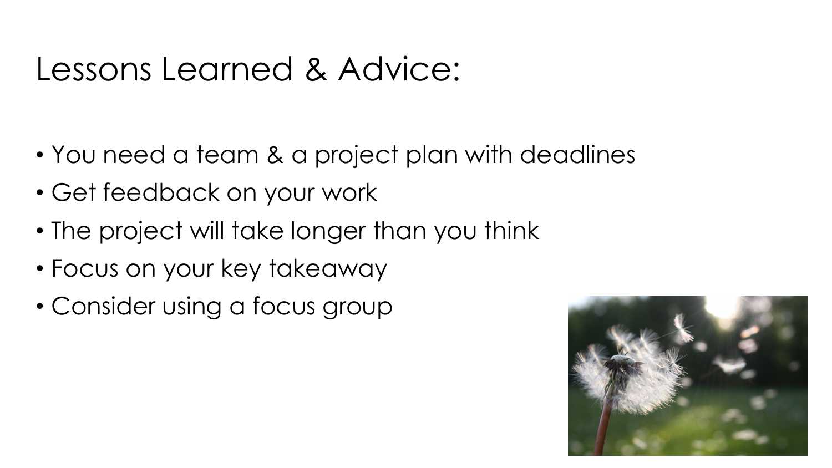### Lessons Learned & Advice:

- You need a team & a project plan with deadlines
- Get feedback on your work
- The project will take longer than you think
- Focus on your key takeaway
- Consider using a focus group

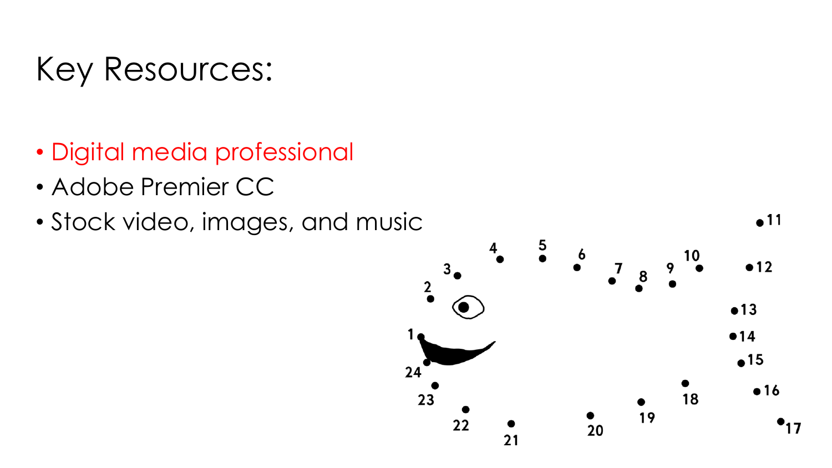### Key Resources:

- Digital media professional
- Adobe Premier CC
- Stock video, images, and music